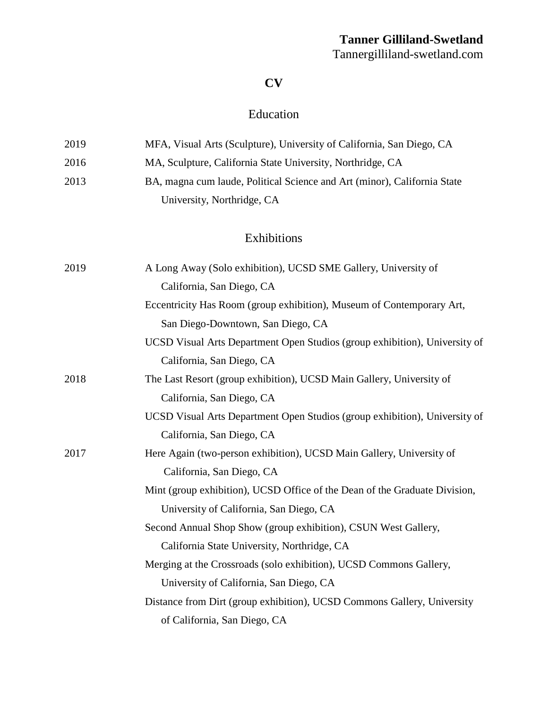# **Tanner Gilliland-Swetland**

Tannergilliland-swetland.com

#### **CV**

### Education

| 2019 | MFA, Visual Arts (Sculpture), University of California, San Diego, CA    |
|------|--------------------------------------------------------------------------|
| 2016 | MA, Sculpture, California State University, Northridge, CA               |
| 2013 | BA, magna cum laude, Political Science and Art (minor), California State |
|      | University, Northridge, CA                                               |

### Exhibitions

| 2019 | A Long Away (Solo exhibition), UCSD SME Gallery, University of             |
|------|----------------------------------------------------------------------------|
|      | California, San Diego, CA                                                  |
|      | Eccentricity Has Room (group exhibition), Museum of Contemporary Art,      |
|      | San Diego-Downtown, San Diego, CA                                          |
|      | UCSD Visual Arts Department Open Studios (group exhibition), University of |
|      | California, San Diego, CA                                                  |
| 2018 | The Last Resort (group exhibition), UCSD Main Gallery, University of       |
|      | California, San Diego, CA                                                  |
|      | UCSD Visual Arts Department Open Studios (group exhibition), University of |
|      | California, San Diego, CA                                                  |
| 2017 | Here Again (two-person exhibition), UCSD Main Gallery, University of       |
|      | California, San Diego, CA                                                  |
|      | Mint (group exhibition), UCSD Office of the Dean of the Graduate Division, |
|      | University of California, San Diego, CA                                    |
|      | Second Annual Shop Show (group exhibition), CSUN West Gallery,             |
|      | California State University, Northridge, CA                                |
|      | Merging at the Crossroads (solo exhibition), UCSD Commons Gallery,         |
|      | University of California, San Diego, CA                                    |
|      | Distance from Dirt (group exhibition), UCSD Commons Gallery, University    |
|      | of California, San Diego, CA                                               |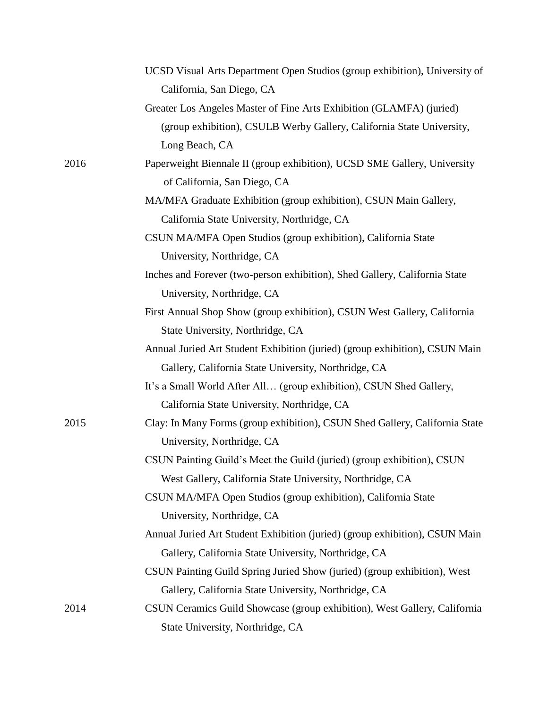|      | UCSD Visual Arts Department Open Studios (group exhibition), University of  |
|------|-----------------------------------------------------------------------------|
|      | California, San Diego, CA                                                   |
|      | Greater Los Angeles Master of Fine Arts Exhibition (GLAMFA) (juried)        |
|      | (group exhibition), CSULB Werby Gallery, California State University,       |
|      | Long Beach, CA                                                              |
| 2016 | Paperweight Biennale II (group exhibition), UCSD SME Gallery, University    |
|      | of California, San Diego, CA                                                |
|      | MA/MFA Graduate Exhibition (group exhibition), CSUN Main Gallery,           |
|      | California State University, Northridge, CA                                 |
|      | CSUN MA/MFA Open Studios (group exhibition), California State               |
|      | University, Northridge, CA                                                  |
|      | Inches and Forever (two-person exhibition), Shed Gallery, California State  |
|      | University, Northridge, CA                                                  |
|      | First Annual Shop Show (group exhibition), CSUN West Gallery, California    |
|      | State University, Northridge, CA                                            |
|      | Annual Juried Art Student Exhibition (juried) (group exhibition), CSUN Main |
|      | Gallery, California State University, Northridge, CA                        |
|      | It's a Small World After All (group exhibition), CSUN Shed Gallery,         |
|      | California State University, Northridge, CA                                 |
| 2015 | Clay: In Many Forms (group exhibition), CSUN Shed Gallery, California State |
|      | University, Northridge, CA                                                  |
|      | CSUN Painting Guild's Meet the Guild (juried) (group exhibition), CSUN      |
|      | West Gallery, California State University, Northridge, CA                   |
|      | CSUN MA/MFA Open Studios (group exhibition), California State               |
|      | University, Northridge, CA                                                  |
|      | Annual Juried Art Student Exhibition (juried) (group exhibition), CSUN Main |
|      | Gallery, California State University, Northridge, CA                        |
|      | CSUN Painting Guild Spring Juried Show (juried) (group exhibition), West    |
|      | Gallery, California State University, Northridge, CA                        |
| 2014 | CSUN Ceramics Guild Showcase (group exhibition), West Gallery, California   |
|      | State University, Northridge, CA                                            |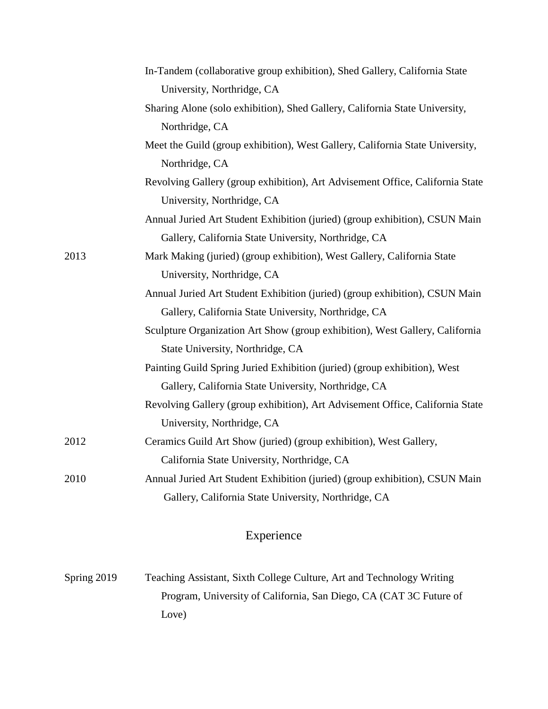|      | In-Tandem (collaborative group exhibition), Shed Gallery, California State    |
|------|-------------------------------------------------------------------------------|
|      | University, Northridge, CA                                                    |
|      | Sharing Alone (solo exhibition), Shed Gallery, California State University,   |
|      | Northridge, CA                                                                |
|      | Meet the Guild (group exhibition), West Gallery, California State University, |
|      | Northridge, CA                                                                |
|      | Revolving Gallery (group exhibition), Art Advisement Office, California State |
|      | University, Northridge, CA                                                    |
|      | Annual Juried Art Student Exhibition (juried) (group exhibition), CSUN Main   |
|      | Gallery, California State University, Northridge, CA                          |
| 2013 | Mark Making (juried) (group exhibition), West Gallery, California State       |
|      | University, Northridge, CA                                                    |
|      | Annual Juried Art Student Exhibition (juried) (group exhibition), CSUN Main   |
|      | Gallery, California State University, Northridge, CA                          |
|      | Sculpture Organization Art Show (group exhibition), West Gallery, California  |
|      | State University, Northridge, CA                                              |
|      | Painting Guild Spring Juried Exhibition (juried) (group exhibition), West     |
|      | Gallery, California State University, Northridge, CA                          |
|      | Revolving Gallery (group exhibition), Art Advisement Office, California State |
|      | University, Northridge, CA                                                    |
| 2012 | Ceramics Guild Art Show (juried) (group exhibition), West Gallery,            |
|      | California State University, Northridge, CA                                   |
| 2010 | Annual Juried Art Student Exhibition (juried) (group exhibition), CSUN Main   |
|      | Gallery, California State University, Northridge, CA                          |
|      |                                                                               |

## Experience

| Spring $2019$ | Teaching Assistant, Sixth College Culture, Art and Technology Writing |
|---------------|-----------------------------------------------------------------------|
|               | Program, University of California, San Diego, CA (CAT 3C Future of    |
|               | Love)                                                                 |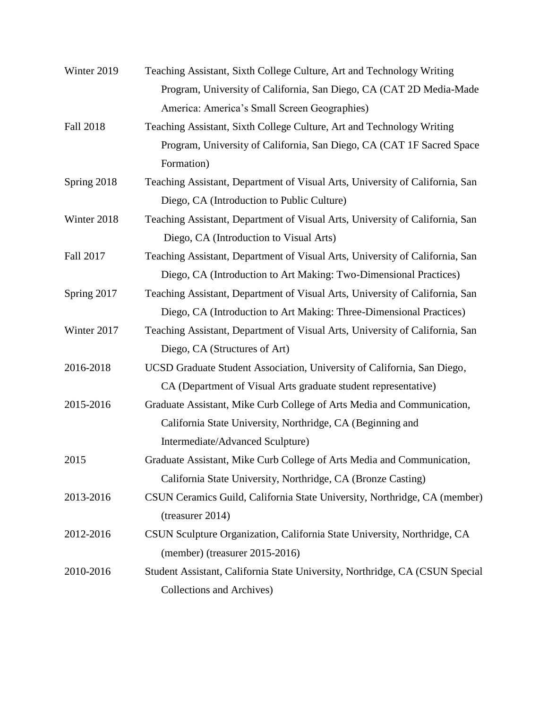| Winter 2019      | Teaching Assistant, Sixth College Culture, Art and Technology Writing        |
|------------------|------------------------------------------------------------------------------|
|                  | Program, University of California, San Diego, CA (CAT 2D Media-Made          |
|                  | America: America's Small Screen Geographies)                                 |
| <b>Fall 2018</b> | Teaching Assistant, Sixth College Culture, Art and Technology Writing        |
|                  | Program, University of California, San Diego, CA (CAT 1F Sacred Space        |
|                  | Formation)                                                                   |
| Spring 2018      | Teaching Assistant, Department of Visual Arts, University of California, San |
|                  | Diego, CA (Introduction to Public Culture)                                   |
| Winter 2018      | Teaching Assistant, Department of Visual Arts, University of California, San |
|                  | Diego, CA (Introduction to Visual Arts)                                      |
| Fall 2017        | Teaching Assistant, Department of Visual Arts, University of California, San |
|                  | Diego, CA (Introduction to Art Making: Two-Dimensional Practices)            |
| Spring 2017      | Teaching Assistant, Department of Visual Arts, University of California, San |
|                  | Diego, CA (Introduction to Art Making: Three-Dimensional Practices)          |
| Winter 2017      | Teaching Assistant, Department of Visual Arts, University of California, San |
|                  | Diego, CA (Structures of Art)                                                |
| 2016-2018        | UCSD Graduate Student Association, University of California, San Diego,      |
|                  | CA (Department of Visual Arts graduate student representative)               |
| 2015-2016        | Graduate Assistant, Mike Curb College of Arts Media and Communication,       |
|                  | California State University, Northridge, CA (Beginning and                   |
|                  | Intermediate/Advanced Sculpture)                                             |
| 2015             | Graduate Assistant, Mike Curb College of Arts Media and Communication,       |
|                  | California State University, Northridge, CA (Bronze Casting)                 |
| 2013-2016        | CSUN Ceramics Guild, California State University, Northridge, CA (member)    |
|                  | $(t$ reasurer 2014)                                                          |
| 2012-2016        | CSUN Sculpture Organization, California State University, Northridge, CA     |
|                  | (member) (treasurer 2015-2016)                                               |
| 2010-2016        | Student Assistant, California State University, Northridge, CA (CSUN Special |
|                  | <b>Collections and Archives)</b>                                             |